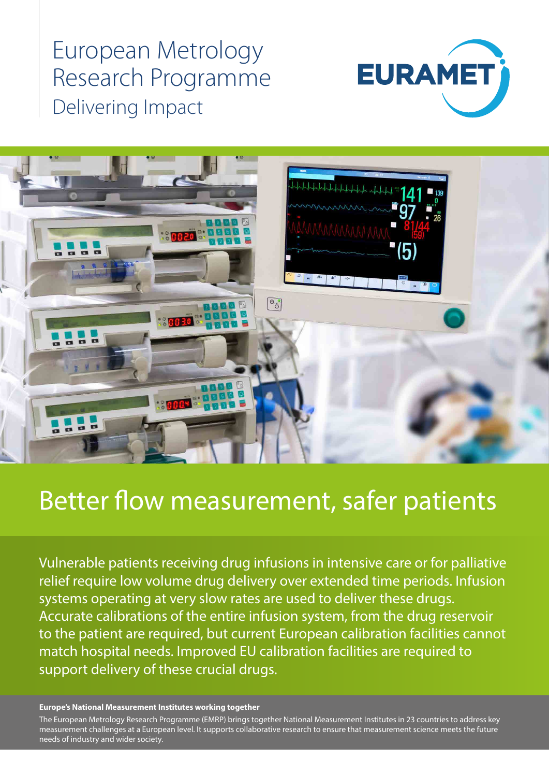European Metrology Research Programme Delivering Impact





# Better flow measurement, safer patients

Vulnerable patients receiving drug infusions in intensive care or for palliative relief require low volume drug delivery over extended time periods. Infusion systems operating at very slow rates are used to deliver these drugs. Accurate calibrations of the entire infusion system, from the drug reservoir to the patient are required, but current European calibration facilities cannot match hospital needs. Improved EU calibration facilities are required to support delivery of these crucial drugs.

#### **Europe's National Measurement Institutes working together**

The European Metrology Research Programme (EMRP) brings together National Measurement Institutes in 23 countries to address key measurement challenges at a European level. It supports collaborative research to ensure that measurement science meets the future needs of industry and wider society.